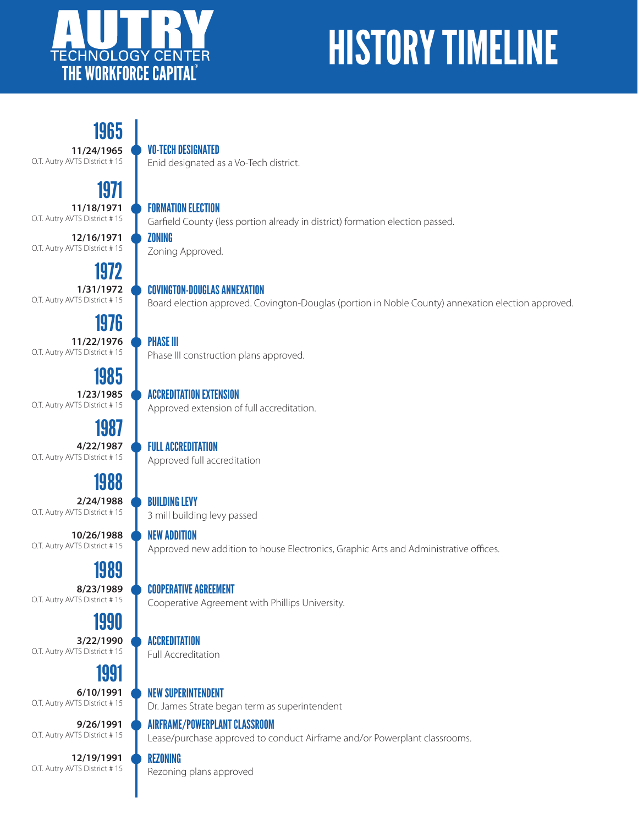

# HISTORY TIMELINE

1965 **11/24/1965** O.T. Autry AVTS District # 15

# 1971

**11/18/1971** O.T. Autry AVTS District # 15

**12/16/1971** O.T. Autry AVTS District # 15

1972 **1/31/1972** O.T. Autry AVTS District # 15

1976 **11/22/1976** O.T. Autry AVTS District # 15

1985 **1/23/1985** O.T. Autry AVTS District # 15

1987 **4/22/1987** O.T. Autry AVTS District # 15

# 1988

**2/24/1988** O.T. Autry AVTS District # 15

**10/26/1988** O.T. Autry AVTS District # 15

### 1989

**8/23/1989** O.T. Autry AVTS District # 15

### 1990

**3/22/1990** O.T. Autry AVTS District # 15

### 1991

**6/10/1991** O.T. Autry AVTS District # 15

**9/26/1991** O.T. Autry AVTS District # 15

**12/19/1991** O.T. Autry AVTS District # 15

#### VO-TECH DESIGNATED

Enid designated as a Vo-Tech district.

FORMATION ELECTION

Garfield County (less portion already in district) formation election passed.

ZONING Zoning Approved.

#### COVINGTON-DOUGLAS ANNEXATION

Board election approved. Covington-Douglas (portion in Noble County) annexation election approved.

#### PHASE III

Phase III construction plans approved.

#### ACCREDITATION EXTENSION

Approved extension of full accreditation.

#### FULL ACCREDITATION

Approved full accreditation

#### BUILDING LEVY

3 mill building levy passed

#### NEW ADDITION

Approved new addition to house Electronics, Graphic Arts and Administrative offices.

#### COOPERATIVE AGREEMENT

Cooperative Agreement with Phillips University.

#### ACCREDITATION

Full Accreditation

#### NEW SUPERINTENDENT

Dr. James Strate began term as superintendent

#### AIRFRAME/POWERPLANT CLASSROOM

Lease/purchase approved to conduct Airframe and/or Powerplant classrooms.

#### REZONING

Rezoning plans approved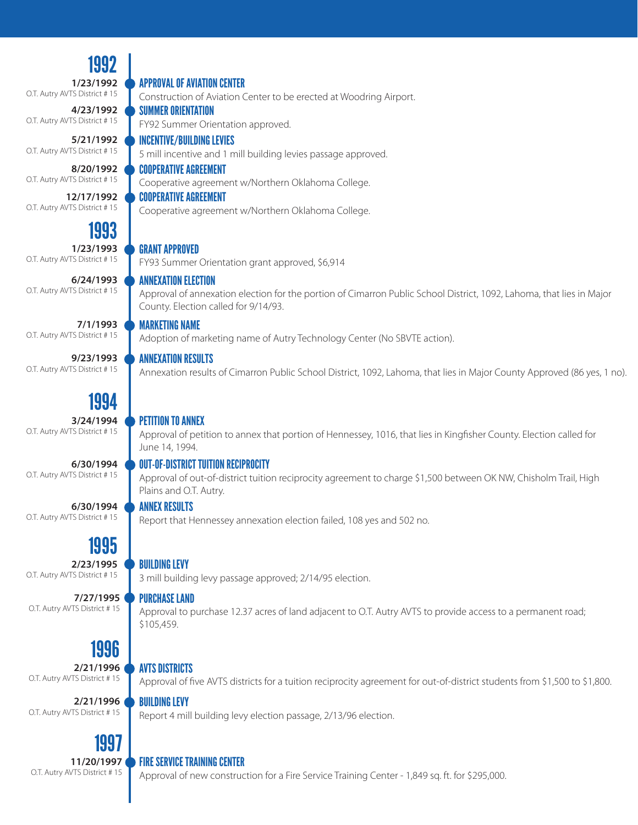1992 1993 1994 1995 1996 **1/23/1992** O.T. Autry AVTS District # 15 **4/23/1992** O.T. Autry AVTS District # 15 **8/20/1992** O.T. Autry AVTS District # 15 **12/17/1992** O.T. Autry AVTS District # 15 **1/23/1993** O.T. Autry AVTS District # 15 **6/24/1993** O.T. Autry AVTS District # 15 **7/1/1993** O.T. Autry AVTS District # 15 **3/24/1994** O.T. Autry AVTS District # 15 **6/30/1994** O.T. Autry AVTS District # 15 **6/30/1994** O.T. Autry AVTS District # 15 **2/23/1995** O.T. Autry AVTS District # 15 **2/21/1996** O.T. Autry AVTS District # 15 **7/27/1995** O.T. Autry AVTS District # 15 **2/21/1996** O.T. Autry AVTS District # 15 **9/23/1993** O.T. Autry AVTS District # 15 **5/21/1992** O.T. Autry AVTS District # 15 APPROVAL OF AVIATION CENTER Construction of Aviation Center to be erected at Woodring Airport. SUMMER ORIENTATION FY92 Summer Orientation approved. COOPERATIVE AGREEMENT Cooperative agreement w/Northern Oklahoma College. COOPERATIVE AGREEMENT Cooperative agreement w/Northern Oklahoma College. GRANT APPROVED FY93 Summer Orientation grant approved, \$6,914 ANNEXATION ELECTION Approval of annexation election for the portion of Cimarron Public School District, 1092, Lahoma, that lies in Major County. Election called for 9/14/93. MARKETING NAME Adoption of marketing name of Autry Technology Center (No SBVTE action). PETITION TO ANNEX Approval of petition to annex that portion of Hennessey, 1016, that lies in Kingfisher County. Election called for June 14, 1994. OUT-OF-DISTRICT TUITION RECIPROCITY Approval of out-of-district tuition reciprocity agreement to charge \$1,500 between OK NW, Chisholm Trail, High Plains and O.T. Autry. ANNEX RESULTS Report that Hennessey annexation election failed, 108 yes and 502 no. **BUILDING LEVY** 3 mill building levy passage approved; 2/14/95 election. AVTS DISTRICTS Approval of five AVTS districts for a tuition reciprocity agreement for out-of-district students from \$1,500 to \$1,800. PURCHASE LAND Approval to purchase 12.37 acres of land adjacent to O.T. Autry AVTS to provide access to a permanent road; \$105,459. BUILDING LEVY Report 4 mill building levy election passage, 2/13/96 election. ANNEXATION RESULTS Annexation results of Cimarron Public School District, 1092, Lahoma, that lies in Major County Approved (86 yes, 1 no). INCENTIVE/BUILDING LEVIES 5 mill incentive and 1 mill building levies passage approved. 1997 **11/20/1997** O.T. Autry AVTS District # 15 FIRE SERVICE TRAINING CENTER Approval of new construction for a Fire Service Training Center - 1,849 sq. ft. for \$295,000.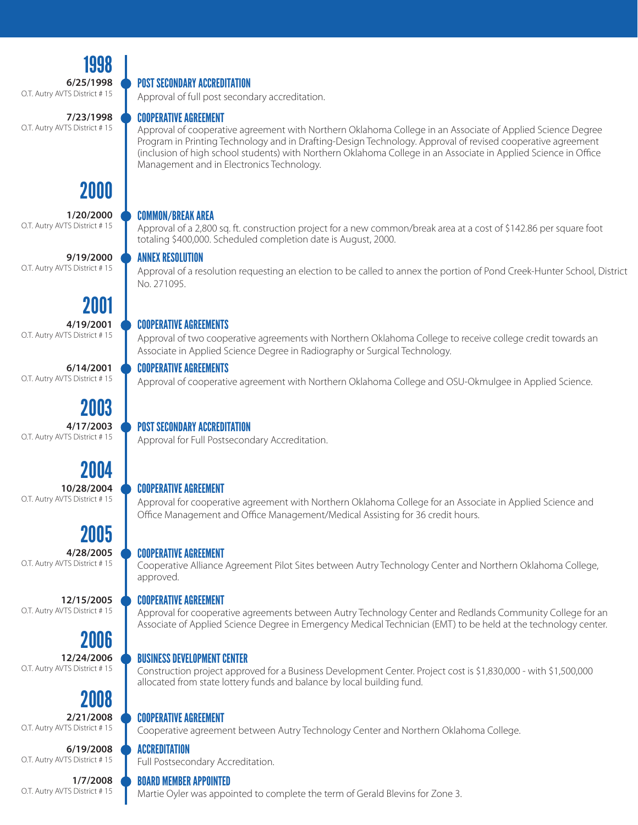1998 **6/25/1998** O.T. Autry AVTS District # 15

O.T. Autry AVTS District # 15

#### POST SECONDARY ACCREDITATION

Approval of full post secondary accreditation.

#### COOPERATIVE AGREEMENT

Approval of cooperative agreement with Northern Oklahoma College in an Associate of Applied Science Degree Program in Printing Technology and in Drafting-Design Technology. Approval of revised cooperative agreement (inclusion of high school students) with Northern Oklahoma College in an Associate in Applied Science in Office Management and in Electronics Technology.

#### COMMON/BREAK AREA

Approval of a 2,800 sq. ft. construction project for a new common/break area at a cost of \$142.86 per square foot totaling \$400,000. Scheduled completion date is August, 2000.

#### ANNEX RESOLUTION

Approval of a resolution requesting an election to be called to annex the portion of Pond Creek-Hunter School, District No. 271095.

#### COOPERATIVE AGREEMENTS

Approval of two cooperative agreements with Northern Oklahoma College to receive college credit towards an Associate in Applied Science Degree in Radiography or Surgical Technology.

#### COOPERATIVE AGREEMENTS

Approval of cooperative agreement with Northern Oklahoma College and OSU-Okmulgee in Applied Science.

#### POST SECONDARY ACCREDITATION

Approval for Full Postsecondary Accreditation.

#### COOPERATIVE AGREEMENT

Approval for cooperative agreement with Northern Oklahoma College for an Associate in Applied Science and Office Management and Office Management/Medical Assisting for 36 credit hours.

#### COOPERATIVE AGREEMENT

Cooperative Alliance Agreement Pilot Sites between Autry Technology Center and Northern Oklahoma College, approved.

#### COOPERATIVE AGREEMENT

Approval for cooperative agreements between Autry Technology Center and Redlands Community College for an Associate of Applied Science Degree in Emergency Medical Technician (EMT) to be held at the technology center.

#### BUSINESS DEVELOPMENT CENTER

Construction project approved for a Business Development Center. Project cost is \$1,830,000 - with \$1,500,000 allocated from state lottery funds and balance by local building fund.

#### COOPERATIVE AGREEMENT

Cooperative agreement between Autry Technology Center and Northern Oklahoma College.

#### **ACCREDITATION**

Full Postsecondary Accreditation.

#### BOARD MEMBER APPOINTED

Martie Oyler was appointed to complete the term of Gerald Blevins for Zone 3.

# O.T. Autry AVTS District # 15

O.T. Autry AVTS District # 15

2000

**1/20/2000**

**9/19/2000**

**7/23/1998**

2001

**4/19/2001** O.T. Autry AVTS District # 15

**6/14/2001** O.T. Autry AVTS District # 15

2003 **4/17/2003** O.T. Autry AVTS District # 15

#### 2004 **10/28/2004** O.T. Autry AVTS District # 15

2005

**4/28/2005** O.T. Autry AVTS District # 15

**12/15/2005** O.T. Autry AVTS District # 15

# 2006

**12/24/2006** O.T. Autry AVTS District # 15

# 2008

**2/21/2008** O.T. Autry AVTS District # 15

**6/19/2008** O.T. Autry AVTS District # 15

#### **1/7/2008** O.T. Autry AVTS District # 15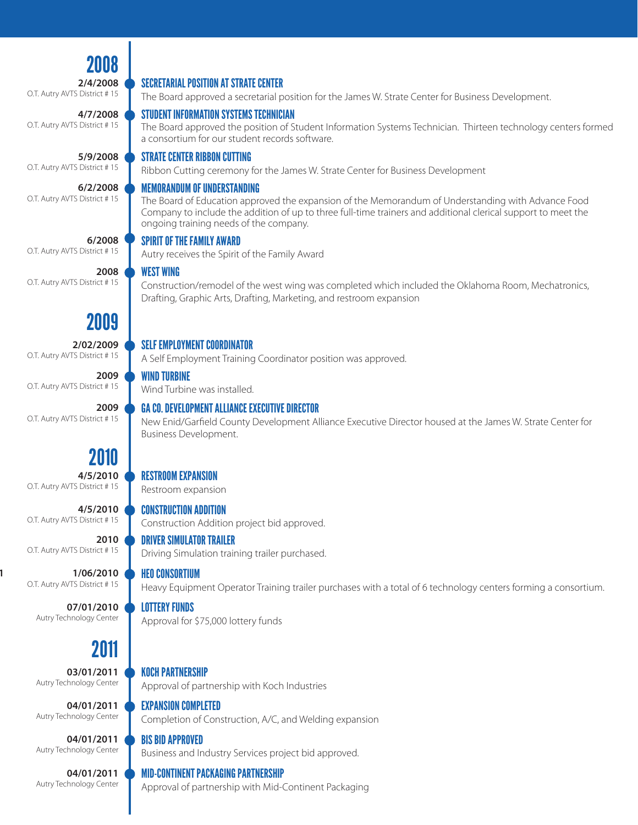| 2008                                     |                                                                                                                                                                                                                                                                                                     |
|------------------------------------------|-----------------------------------------------------------------------------------------------------------------------------------------------------------------------------------------------------------------------------------------------------------------------------------------------------|
| 2/4/2008<br>O.T. Autry AVTS District #15 | <b>SECRETARIAL POSITION AT STRATE CENTER</b>                                                                                                                                                                                                                                                        |
|                                          | The Board approved a secretarial position for the James W. Strate Center for Business Development.                                                                                                                                                                                                  |
| 4/7/2008<br>O.T. Autry AVTS District #15 | <b>STUDENT INFORMATION SYSTEMS TECHNICIAN</b><br>The Board approved the position of Student Information Systems Technician. Thirteen technology centers formed<br>a consortium for our student records software.                                                                                    |
| 5/9/2008                                 | <b>STRATE CENTER RIBBON CUTTING</b>                                                                                                                                                                                                                                                                 |
| O.T. Autry AVTS District #15             | Ribbon Cutting ceremony for the James W. Strate Center for Business Development                                                                                                                                                                                                                     |
| 6/2/2008<br>O.T. Autry AVTS District #15 | <b>MEMORANDUM OF UNDERSTANDING</b><br>The Board of Education approved the expansion of the Memorandum of Understanding with Advance Food<br>Company to include the addition of up to three full-time trainers and additional clerical support to meet the<br>ongoing training needs of the company. |
| 6/2008                                   | <b>SPIRIT OF THE FAMILY AWARD</b>                                                                                                                                                                                                                                                                   |
| O.T. Autry AVTS District #15             | Autry receives the Spirit of the Family Award                                                                                                                                                                                                                                                       |
| 2008<br>O.T. Autry AVTS District #15     | <b>WEST WING</b><br>Construction/remodel of the west wing was completed which included the Oklahoma Room, Mechatronics,<br>Drafting, Graphic Arts, Drafting, Marketing, and restroom expansion                                                                                                      |
| 2009                                     |                                                                                                                                                                                                                                                                                                     |
| 2/02/2009                                | <b>SELF EMPLOYMENT COORDINATOR</b>                                                                                                                                                                                                                                                                  |
| O.T. Autry AVTS District # 15            | A Self Employment Training Coordinator position was approved.                                                                                                                                                                                                                                       |
| 2009                                     | <b>WIND TURBINE</b>                                                                                                                                                                                                                                                                                 |
| O.T. Autry AVTS District #15             | Wind Turbine was installed.                                                                                                                                                                                                                                                                         |
| 2009<br>O.T. Autry AVTS District #15     | <b>GA CO. DEVELOPMENT ALLIANCE EXECUTIVE DIRECTOR</b><br>New Enid/Garfield County Development Alliance Executive Director housed at the James W. Strate Center for<br>Business Development.                                                                                                         |
| 2010                                     |                                                                                                                                                                                                                                                                                                     |
| 4/5/2010                                 | <b>RESTROOM EXPANSION</b>                                                                                                                                                                                                                                                                           |
| O.T. Autry AVTS District #15             | Restroom expansion                                                                                                                                                                                                                                                                                  |
| 4/5/2010                                 | <b>CONSTRUCTION ADDITION</b>                                                                                                                                                                                                                                                                        |
| O.T. Autry AVTS District #15             | Construction Addition project bid approved.                                                                                                                                                                                                                                                         |
| 2010                                     | <b>DRIVER SIMULATOR TRAILER</b>                                                                                                                                                                                                                                                                     |
| O.T. Autry AVTS District #15             | Driving Simulation training trailer purchased.                                                                                                                                                                                                                                                      |
| 1/06/2010                                | <b>HEO CONSORTIUM</b>                                                                                                                                                                                                                                                                               |
| O.T. Autry AVTS District #15             | Heavy Equipment Operator Training trailer purchases with a total of 6 technology centers forming a consortium.                                                                                                                                                                                      |
| 07/01/2010                               | <b>LOTTERY FUNDS</b>                                                                                                                                                                                                                                                                                |
| Autry Technology Center                  | Approval for \$75,000 lottery funds                                                                                                                                                                                                                                                                 |
| 2011                                     |                                                                                                                                                                                                                                                                                                     |
| 03/01/2011                               | <b>KOCH PARTNERSHIP</b>                                                                                                                                                                                                                                                                             |
| Autry Technology Center                  | Approval of partnership with Koch Industries                                                                                                                                                                                                                                                        |
| 04/01/2011                               | <b>EXPANSION COMPLETED</b>                                                                                                                                                                                                                                                                          |
| Autry Technology Center                  | Completion of Construction, A/C, and Welding expansion                                                                                                                                                                                                                                              |
| 04/01/2011                               | <b>BIS BID APPROVED</b>                                                                                                                                                                                                                                                                             |
| Autry Technology Center                  | Business and Industry Services project bid approved.                                                                                                                                                                                                                                                |
| 04/01/2011                               | <b>MID-CONTINENT PACKAGING PARTNERSHIP</b>                                                                                                                                                                                                                                                          |
| Autry Technology Center                  | Approval of partnership with Mid-Continent Packaging                                                                                                                                                                                                                                                |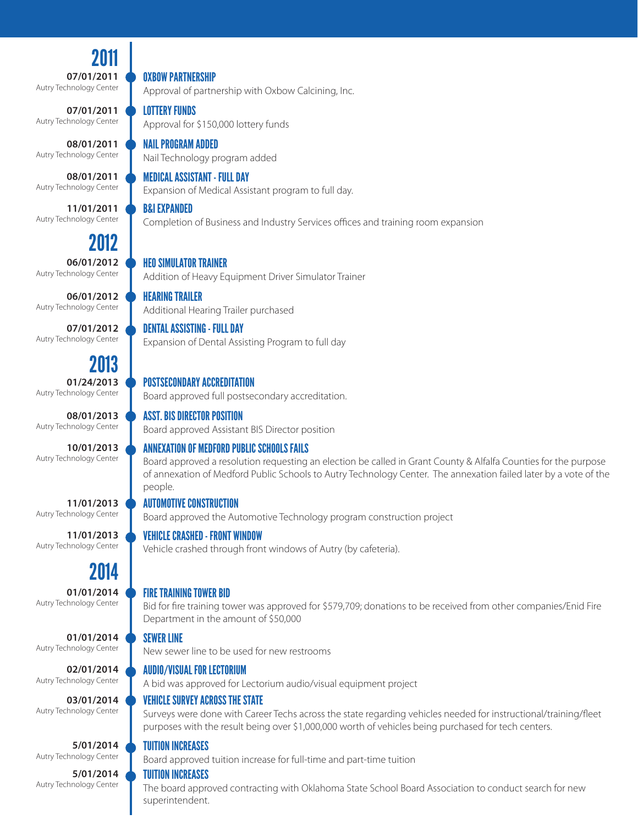2011 **07/01/2011** Autry Technology Center

**07/01/2011** Autry Technology Center

**08/01/2011** Autry Technology Center

**08/01/2011** Autry Technology Center

**11/01/2011** Autry Technology Center

> 2012 **06/01/2012**

Autry Technology Center

**06/01/2012** Autry Technology Center

**07/01/2012** Autry Technology Center

2013

**01/24/2013** Autry Technology Center

**08/01/2013** Autry Technology Center

**10/01/2013** Autry Technology Center

**11/01/2013** Autry Technology Center

**11/01/2013** Autry Technology Center

2014

**01/01/2014** Autry Technology Center

**01/01/2014** Autry Technology Center

**02/01/2014** Autry Technology Center

**03/01/2014** Autry Technology Center

**5/01/2014** Autry Technology Center

**5/01/2014** Autry Technology Center

OXBOW PARTNERSHIP

Approval of partnership with Oxbow Calcining, Inc.

LOTTERY FUNDS

Approval for \$150,000 lottery funds

#### NAIL PROGRAM ADDED

Nail Technology program added

MEDICAL ASSISTANT - FULL DAY

Expansion of Medical Assistant program to full day.

B&I EXPANDED

Completion of Business and Industry Services offices and training room expansion

#### HEO SIMULATOR TRAINER

Addition of Heavy Equipment Driver Simulator Trainer

DENTAL ASSISTING - FULL DAY

Expansion of Dental Assisting Program to full day

#### POSTSECONDARY ACCREDITATION

Board approved full postsecondary accreditation.

ASST. BIS DIRECTOR POSITION

Board approved Assistant BIS Director position

#### ANNEXATION OF MEDFORD PUBLIC SCHOOLS FAILS

Board approved a resolution requesting an election be called in Grant County & Alfalfa Counties for the purpose of annexation of Medford Public Schools to Autry Technology Center. The annexation failed later by a vote of the people.

#### AUTOMOTIVE CONSTRUCTION

Board approved the Automotive Technology program construction project

#### VEHICLE CRASHED - FRONT WINDOW

Vehicle crashed through front windows of Autry (by cafeteria).

#### FIRE TRAINING TOWER BID

Bid for fire training tower was approved for \$579,709; donations to be received from other companies/Enid Fire Department in the amount of \$50,000

#### SEWER LINE

New sewer line to be used for new restrooms

#### AUDIO/VISUAL FOR LECTORIUM

A bid was approved for Lectorium audio/visual equipment project

#### VEHICLE SURVEY ACROSS THE STATE

Surveys were done with Career Techs across the state regarding vehicles needed for instructional/training/fleet purposes with the result being over \$1,000,000 worth of vehicles being purchased for tech centers.

#### TUITION INCREASES

Board approved tuition increase for full-time and part-time tuition

#### TUITION INCREASES

The board approved contracting with Oklahoma State School Board Association to conduct search for new superintendent.

# HEARING TRAILER Additional Hearing Trailer purchased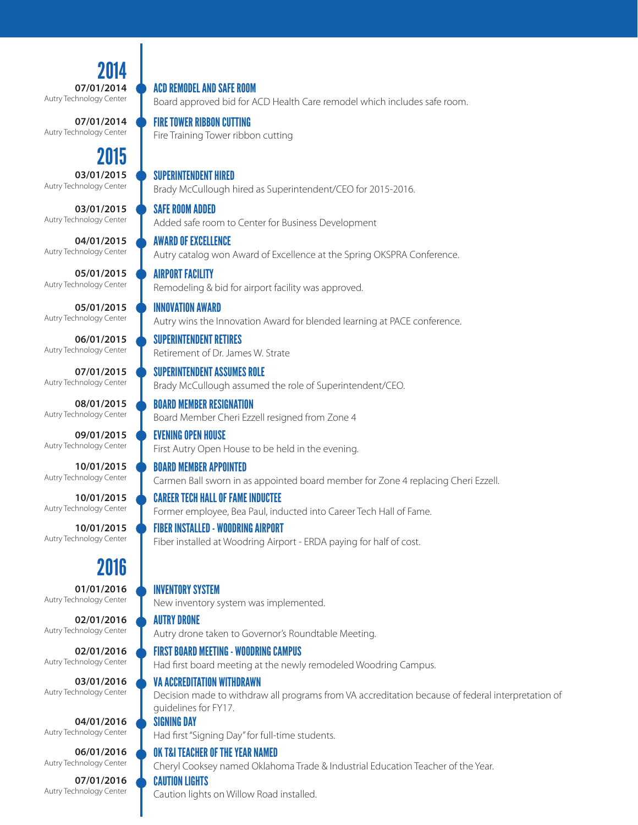2014 **07/01/2014** Autry Technology Center

**07/01/2014** Autry Technology Center

### 2015

**03/01/2015** Autry Technology Center

**03/01/2015** Autry Technology Center

**04/01/2015** Autry Technology Center

**05/01/2015** Autry Technology Center

**05/01/2015** Autry Technology Center

**06/01/2015** Autry Technology Center

**07/01/2015** Autry Technology Center

**08/01/2015** Autry Technology Center

**09/01/2015** Autry Technology Center

**10/01/2015** Autry Technology Center

**10/01/2015** Autry Technology Center

**10/01/2015** Autry Technology Center

### 2016

**01/01/2016** Autry Technology Center

**02/01/2016** Autry Technology Center

**02/01/2016** Autry Technology Center

**03/01/2016** Autry Technology Center

**04/01/2016** Autry Technology Center

**06/01/2016** Autry Technology Center

**07/01/2016** Autry Technology Center

ACD REMODEL AND SAFE ROOM

Board approved bid for ACD Health Care remodel which includes safe room.

FIRE TOWER RIBBON CUTTING

Fire Training Tower ribbon cutting

#### SUPERINTENDENT HIRED

Brady McCullough hired as Superintendent/CEO for 2015-2016.

SAFE ROOM ADDED

Added safe room to Center for Business Development

#### AWARD OF EXCELLENCE

Autry catalog won Award of Excellence at the Spring OKSPRA Conference.

Autry wins the Innovation Award for blended learning at PACE conference.

### AIRPORT FACILITY

Remodeling & bid for airport facility was approved.

#### SUPERINTENDENT RETIRES

INNOVATION AWARD

Retirement of Dr. James W. Strate

#### SUPERINTENDENT ASSUMES ROLE

Brady McCullough assumed the role of Superintendent/CEO.

#### BOARD MEMBER RESIGNATION

Board Member Cheri Ezzell resigned from Zone 4

#### EVENING OPEN HOUSE

First Autry Open House to be held in the evening.

#### BOARD MEMBER APPOINTED

Carmen Ball sworn in as appointed board member for Zone 4 replacing Cheri Ezzell.

#### CAREER TECH HALL OF FAME INDUCTEE

Former employee, Bea Paul, inducted into Career Tech Hall of Fame.

#### FIBER INSTALLED - WOODRING AIRPORT

Fiber installed at Woodring Airport - ERDA paying for half of cost.

#### INVENTORY SYSTEM

New inventory system was implemented.

#### AUTRY DRONE

Autry drone taken to Governor's Roundtable Meeting.

#### FIRST BOARD MEETING - WOODRING CAMPUS

Had first board meeting at the newly remodeled Woodring Campus.

#### VA ACCREDITATION WITHDRAWN

Decision made to withdraw all programs from VA accreditation because of federal interpretation of guidelines for FY17.

#### SIGNING DAY

Had first "Signing Day" for full-time students.

#### OK T&I TEACHER OF THE YEAR NAMED

Cheryl Cooksey named Oklahoma Trade & Industrial Education Teacher of the Year.

#### CAUTION LIGHTS

Caution lights on Willow Road installed.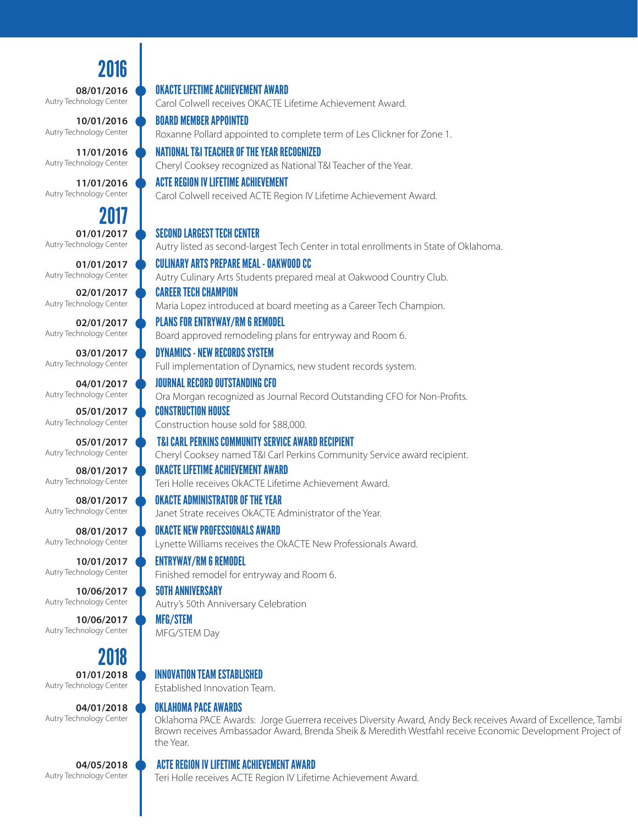# 2016

OKACTE LIFETIME ACHIEVEMENT AWARD

ACTE REGION IV LIFETIME ACHIEVEMENT

BOARD MEMBER APPOINTED

NATIONAL T&I TEACHER OF THE YEAR RECOGNIZED

Carol Colwell receives OKACTE Lifetime Achievement Award.

Cheryl Cooksey recognized as National T&I Teacher of the Year.

Carol Colwell received ACTE Region IV Lifetime Achievement Award.

Roxanne Pollard appointed to complete term of Les Clickner for Zone 1.

**08/01/2016** Autry Technology Center

**10/01/2016** Autry Technology Center

**11/01/2016** Autry Technology Center

**11/01/2016** Autry Technology Center

**01/01/2017** Autry Technology Center 2017

**01/01/2017** Autry Technology Center

**02/01/2017** Autry Technology Center

**02/01/2017** Autry Technology Center

**03/01/2017** Autry Technology Center

**04/01/2017** Autry Technology Center

**05/01/2017** Autry Technology Center

**05/01/2017** Autry Technology Center

**08/01/2017** Autry Technology Center

**08/01/2017** Autry Technology Center

**08/01/2017** Autry Technology Center

**10/01/2017** Autry Technology Center

**10/06/2017** Autry Technology Center

**10/06/2017** Autry Technology Center

**01/01/2018** Autry Technology Center 2018

**04/01/2018** Autry Technology Center

**04/05/2018** Autry Technology Center

SECOND LARGEST TECH CENTER Autry listed as second-largest Tech Center in total enrollments in State of Oklahoma. CONSTRUCTION HOUSE Construction house sold for \$88,000. PLANS FOR ENTRYWAY/RM 6 REMODEL Board approved remodeling plans for entryway and Room 6. OKACTE ADMINISTRATOR OF THE YEAR Janet Strate receives OkACTE Administrator of the Year. CAREER TECH CHAMPION Maria Lopez introduced at board meeting as a Career Tech Champion. OKACTE LIFETIME ACHIEVEMENT AWARD Teri Holle receives OkACTE Lifetime Achievement Award. JOURNAL RECORD OUTSTANDING CFO Ora Morgan recognized as Journal Record Outstanding CFO for Non-Profits. ENTRYWAY/RM 6 REMODEL Finished remodel for entryway and Room 6. 50TH ANNIVERSARY Autry's 50th Anniversary Celebration MFG/STEM CULINARY ARTS PREPARE MEAL - OAKWOOD CC Autry Culinary Arts Students prepared meal at Oakwood Country Club. T&I CARL PERKINS COMMUNITY SERVICE AWARD RECIPIENT Cheryl Cooksey named T&I Carl Perkins Community Service award recipient. DYNAMICS - NEW RECORDS SYSTEM Full implementation of Dynamics, new student records system. OKACTE NEW PROFESSIONALS AWARD Lynette Williams receives the OkACTE New Professionals Award.

MFG/STEM Day

#### INNOVATION TEAM ESTABLISHED

Established Innovation Team.

#### OKLAHOMA PACE AWARDS

Oklahoma PACE Awards: Jorge Guerrera receives Diversity Award, Andy Beck receives Award of Excellence, Tambi Brown receives Ambassador Award, Brenda Sheik & Meredith Westfahl receive Economic Development Project of the Year.

#### ACTE REGION IV LIFETIME ACHIEVEMENT AWARD

Teri Holle receives ACTE Region IV Lifetime Achievement Award.